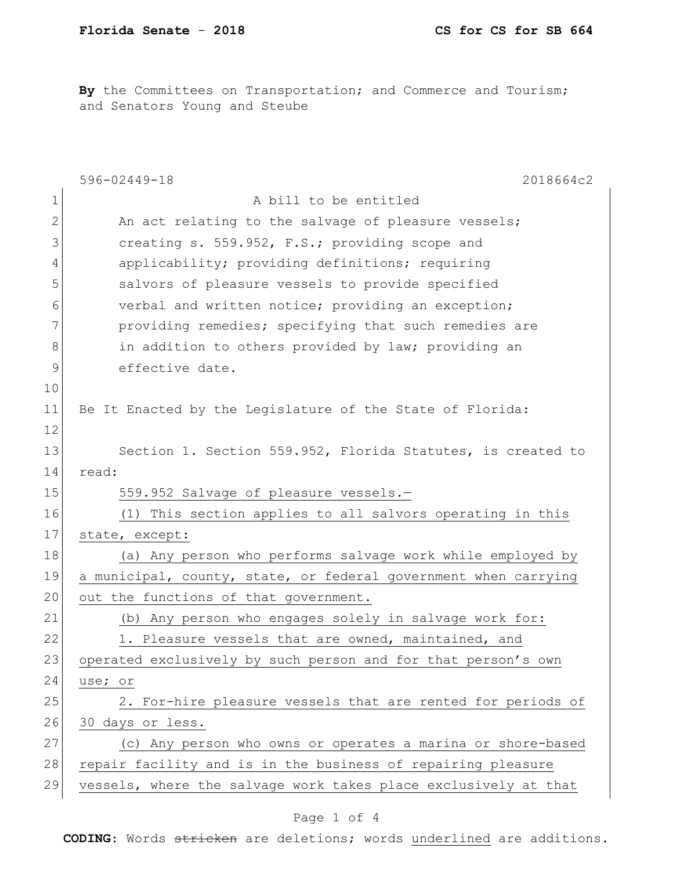By the Committees on Transportation; and Commerce and Tourism; and Senators Young and Steube

|              | $596 - 02449 - 18$<br>2018664c2                                 |
|--------------|-----------------------------------------------------------------|
| 1            | A bill to be entitled                                           |
| $\mathbf{2}$ | An act relating to the salvage of pleasure vessels;             |
| 3            | creating s. 559.952, F.S.; providing scope and                  |
| 4            | applicability; providing definitions; requiring                 |
| 5            | salvors of pleasure vessels to provide specified                |
| 6            | verbal and written notice; providing an exception;              |
| 7            | providing remedies; specifying that such remedies are           |
| 8            | in addition to others provided by law; providing an             |
| 9            | effective date.                                                 |
| 10           |                                                                 |
| 11           | Be It Enacted by the Legislature of the State of Florida:       |
| 12           |                                                                 |
| 13           | Section 1. Section 559.952, Florida Statutes, is created to     |
| 14           | read:                                                           |
| 15           | 559.952 Salvage of pleasure vessels.-                           |
| 16           | (1) This section applies to all salvors operating in this       |
| 17           | state, except:                                                  |
| 18           | (a) Any person who performs salvage work while employed by      |
| 19           | a municipal, county, state, or federal government when carrying |
| 20           | out the functions of that government.                           |
| 21           | (b) Any person who engages solely in salvage work for:          |
| 22           | 1. Pleasure vessels that are owned, maintained, and             |
| 23           | operated exclusively by such person and for that person's own   |
| 24           | use; or                                                         |
| 25           | 2. For-hire pleasure vessels that are rented for periods of     |
| 26           | 30 days or less.                                                |
| 27           | (c) Any person who owns or operates a marina or shore-based     |
| 28           | repair facility and is in the business of repairing pleasure    |
| 29           | vessels, where the salvage work takes place exclusively at that |
|              |                                                                 |

## Page 1 of 4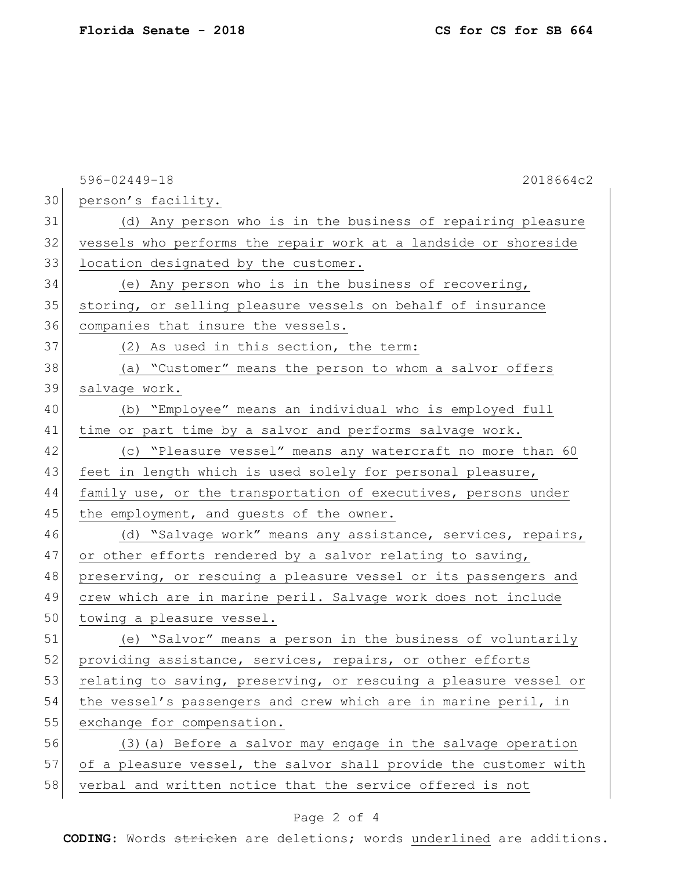|    | 596-02449-18<br>2018664c2                                        |
|----|------------------------------------------------------------------|
| 30 | person's facility.                                               |
| 31 | (d) Any person who is in the business of repairing pleasure      |
| 32 | vessels who performs the repair work at a landside or shoreside  |
| 33 | location designated by the customer.                             |
| 34 | (e) Any person who is in the business of recovering,             |
| 35 | storing, or selling pleasure vessels on behalf of insurance      |
| 36 | companies that insure the vessels.                               |
| 37 | (2) As used in this section, the term:                           |
| 38 | (a) "Customer" means the person to whom a salvor offers          |
| 39 | salvage work.                                                    |
| 40 | (b) "Employee" means an individual who is employed full          |
| 41 | time or part time by a salvor and performs salvage work.         |
| 42 | (c) "Pleasure vessel" means any watercraft no more than 60       |
| 43 | feet in length which is used solely for personal pleasure,       |
| 44 | family use, or the transportation of executives, persons under   |
| 45 | the employment, and guests of the owner.                         |
| 46 | (d) "Salvage work" means any assistance, services, repairs,      |
| 47 | or other efforts rendered by a salvor relating to saving,        |
| 48 | preserving, or rescuing a pleasure vessel or its passengers and  |
| 49 | crew which are in marine peril. Salvage work does not include    |
| 50 | towing a pleasure vessel.                                        |
| 51 | (e) "Salvor" means a person in the business of voluntarily       |
| 52 | providing assistance, services, repairs, or other efforts        |
| 53 | relating to saving, preserving, or rescuing a pleasure vessel or |
| 54 | the vessel's passengers and crew which are in marine peril, in   |
| 55 | exchange for compensation.                                       |
| 56 | (3) (a) Before a salvor may engage in the salvage operation      |
| 57 | of a pleasure vessel, the salvor shall provide the customer with |
| 58 | verbal and written notice that the service offered is not        |
|    |                                                                  |

## Page 2 of 4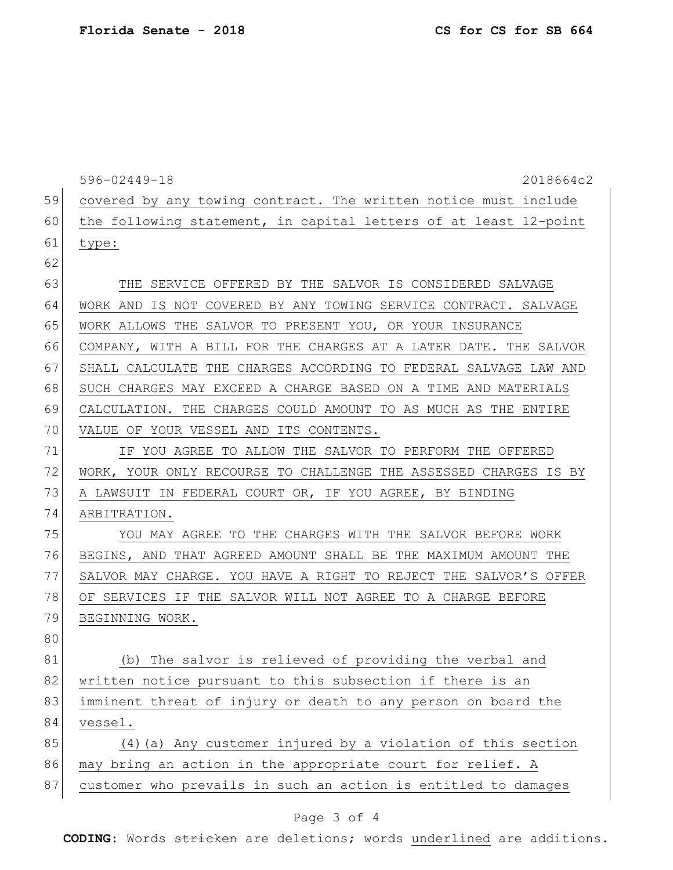|    | 596-02449-18<br>2018664c2                                        |
|----|------------------------------------------------------------------|
| 59 | covered by any towing contract. The written notice must include  |
| 60 | the following statement, in capital letters of at least 12-point |
| 61 | type:                                                            |
| 62 |                                                                  |
| 63 | THE SERVICE OFFERED BY THE SALVOR IS CONSIDERED SALVAGE          |
| 64 | WORK AND IS NOT COVERED BY ANY TOWING SERVICE CONTRACT. SALVAGE  |
| 65 | WORK ALLOWS THE SALVOR TO PRESENT YOU, OR YOUR INSURANCE         |
| 66 | COMPANY, WITH A BILL FOR THE CHARGES AT A LATER DATE. THE SALVOR |
| 67 | SHALL CALCULATE THE CHARGES ACCORDING TO FEDERAL SALVAGE LAW AND |
| 68 | SUCH CHARGES MAY EXCEED A CHARGE BASED ON A TIME AND MATERIALS   |
| 69 | CALCULATION. THE CHARGES COULD AMOUNT TO AS MUCH AS THE ENTIRE   |
| 70 | VALUE OF YOUR VESSEL AND ITS CONTENTS.                           |
| 71 | IF YOU AGREE TO ALLOW THE SALVOR TO PERFORM THE OFFERED          |
| 72 | WORK, YOUR ONLY RECOURSE TO CHALLENGE THE ASSESSED CHARGES IS BY |
| 73 | A LAWSUIT IN FEDERAL COURT OR, IF YOU AGREE, BY BINDING          |
| 74 | ARBITRATION.                                                     |
| 75 | YOU MAY AGREE TO THE CHARGES WITH THE SALVOR BEFORE WORK         |
| 76 | BEGINS, AND THAT AGREED AMOUNT SHALL BE THE MAXIMUM AMOUNT THE   |
| 77 | SALVOR MAY CHARGE. YOU HAVE A RIGHT TO REJECT THE SALVOR'S OFFER |
| 78 | OF SERVICES IF THE SALVOR WILL NOT AGREE TO A CHARGE BEFORE      |
| 79 | BEGINNING WORK.                                                  |
| 80 |                                                                  |
| 81 | (b) The salvor is relieved of providing the verbal and           |
| 82 | written notice pursuant to this subsection if there is an        |
| 83 | imminent threat of injury or death to any person on board the    |
| 84 | vessel.                                                          |
| 85 | (4) (a) Any customer injured by a violation of this section      |
| 86 | may bring an action in the appropriate court for relief. A       |
| 87 | customer who prevails in such an action is entitled to damages   |

## Page 3 of 4